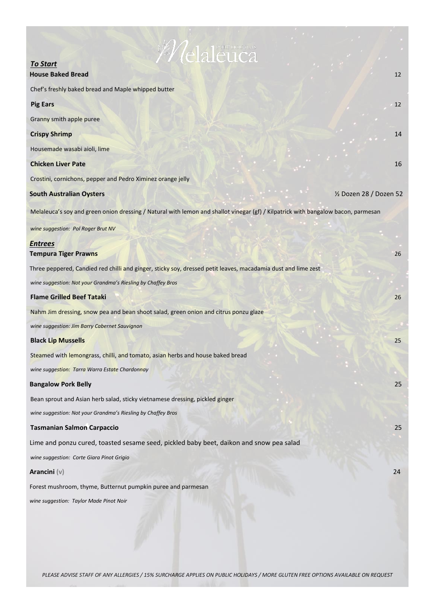| <i>Velaleuca</i>                                                                                                                  |                         |
|-----------------------------------------------------------------------------------------------------------------------------------|-------------------------|
| <b>To Start</b><br>$\mathcal{F}_{\text{c},\text{p}}$ .                                                                            |                         |
| <b>House Baked Bread</b>                                                                                                          | 12                      |
| Chef's freshly baked bread and Maple whipped butter                                                                               |                         |
| <b>Pig Ears</b>                                                                                                                   | 12                      |
| Granny smith apple puree                                                                                                          |                         |
| <b>Crispy Shrimp</b>                                                                                                              | 14                      |
| Housemade wasabi aioli, lime                                                                                                      |                         |
| <b>Chicken Liver Pate</b>                                                                                                         | 16                      |
| Crostini, cornichons, pepper and Pedro Ximinez orange jelly                                                                       |                         |
| <b>South Australian Oysters</b>                                                                                                   | 1/2 Dozen 28 / Dozen 52 |
| Melaleuca's soy and green onion dressing / Natural with lemon and shallot vinegar (gf) / Kilpatrick with bangalow bacon, parmesan |                         |
| wine suggestion: Pol Roger Brut NV                                                                                                |                         |
| <b>Entrees</b><br><b>Tempura Tiger Prawns</b>                                                                                     | 26                      |
| Three peppered, Candied red chilli and ginger, sticky soy, dressed petit leaves, macadamia dust and lime zest                     |                         |
| wine suggestion: Not your Grandma's Riesling by Chaffey Bros                                                                      |                         |
| <b>Flame Grilled Beef Tataki</b>                                                                                                  | 26                      |
| Nahm Jim dressing, snow pea and bean shoot salad, green onion and citrus ponzu glaze                                              |                         |
| wine suggestion: Jim Barry Cabernet Sauvignon                                                                                     |                         |
| <b>Black Lip Mussells</b>                                                                                                         | 25                      |
| Steamed with lemongrass, chilli, and tomato, asian herbs and house baked bread                                                    |                         |
| wine suggestion: Tarra Warra Estate Chardonnay                                                                                    |                         |
| <b>Bangalow Pork Belly</b>                                                                                                        | 25                      |
| Bean sprout and Asian herb salad, sticky vietnamese dressing, pickled ginger                                                      |                         |
| wine suggestion: Not your Grandma's Riesling by Chaffey Bros                                                                      |                         |
| <b>Tasmanian Salmon Carpaccio</b>                                                                                                 | 25                      |
| Lime and ponzu cured, toasted sesame seed, pickled baby beet, daikon and snow pea salad                                           |                         |
| wine suggestion: Corte Giara Pinot Grigio                                                                                         |                         |
| Arancini $(v)$                                                                                                                    | 24                      |
| Forest mushroom, thyme, Butternut pumpkin puree and parmesan                                                                      |                         |
| wine suggestion: Taylor Made Pinot Noir                                                                                           |                         |